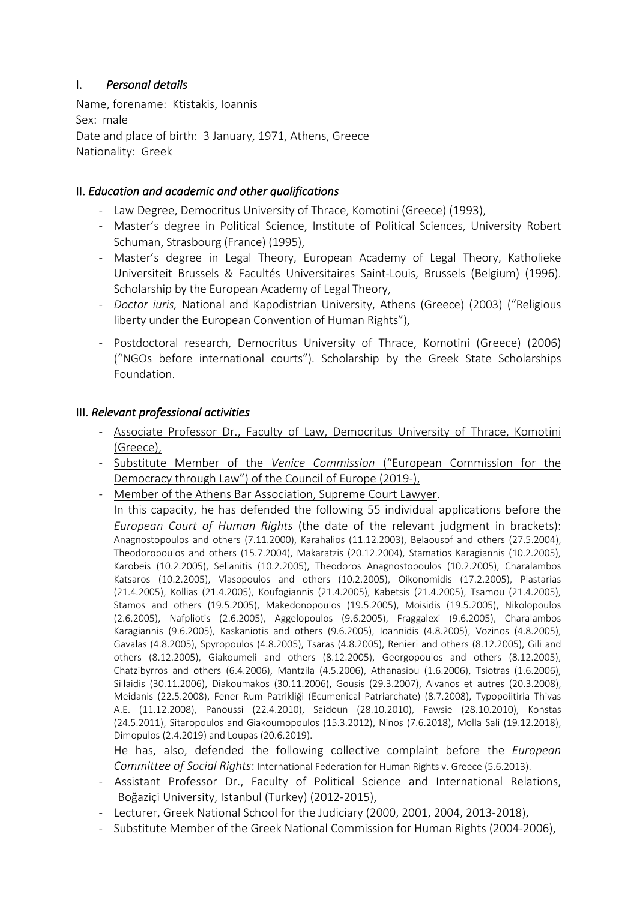# I. *Personal details*

Name, forename: Ktistakis, Ioannis Sex: male Date and place of birth: 3 January, 1971, Athens, Greece Nationality: Greek

# II. *Education and academic and other qualifications*

- Law Degree, Democritus University of Thrace, Komotini (Greece) (1993),
- Master's degree in Political Science, Institute of Political Sciences, University Robert Schuman, Strasbourg (France) (1995),
- Master's degree in Legal Theory, European Academy of Legal Theory, Katholieke Universiteit Brussels & Facultés Universitaires Saint-Louis, Brussels (Belgium) (1996). Scholarship by the European Academy of Legal Theory,
- *Doctor iuris,* National and Kapodistrian University, Athens (Greece) (2003) ("Religious liberty under the European Convention of Human Rights"),
- Postdoctoral research, Democritus University of Thrace, Komotini (Greece) (2006) ("NGOs before international courts"). Scholarship by the Greek State Scholarships Foundation.

# III. *Relevant professional activities*

- Associate Professor Dr., Faculty of Law, Democritus University of Thrace, Komotini (Greece),
- Substitute Member of the *Venice Commission* ("European Commission for the Democracy through Law") of the Council of Europe (2019-),
- Member of the Athens Bar Association, Supreme Court Lawyer.

In this capacity, he has defended the following 55 individual applications before the *European Court of Human Rights* (the date of the relevant judgment in brackets): Anagnostopoulos and others (7.11.2000), Karahalios (11.12.2003), Belaousof and others (27.5.2004), Theodoropoulos and others (15.7.2004), Makaratzis (20.12.2004), Stamatios Karagiannis (10.2.2005), Karobeis (10.2.2005), Selianitis (10.2.2005), Theodoros Anagnostopoulos (10.2.2005), Charalambos Katsaros (10.2.2005), Vlasopoulos and others (10.2.2005), Oikonomidis (17.2.2005), Plastarias (21.4.2005), Kollias (21.4.2005), Koufogiannis (21.4.2005), Kabetsis (21.4.2005), Tsamou (21.4.2005), Stamos and others (19.5.2005), Makedonopoulos (19.5.2005), Moisidis (19.5.2005), Nikolopoulos (2.6.2005), Nafpliotis (2.6.2005), Aggelopoulos (9.6.2005), Fraggalexi (9.6.2005), Charalambos Karagiannis (9.6.2005), Kaskaniotis and others (9.6.2005), Ioannidis (4.8.2005), Vozinos (4.8.2005), Gavalas (4.8.2005), Spyropoulos (4.8.2005), Tsaras (4.8.2005), Renieri and others (8.12.2005), Gili and others (8.12.2005), Giakoumeli and others (8.12.2005), Georgopoulos and others (8.12.2005), Chatzibyrros and others (6.4.2006), Mantzila (4.5.2006), Athanasiou (1.6.2006), Tsiotras (1.6.2006), Sillaidis (30.11.2006), Diakoumakos (30.11.2006), Gousis (29.3.2007), Alvanos et autres (20.3.2008), Meidanis (22.5.2008), Fener Rum Patrikliği (Ecumenical Patriarchate) (8.7.2008), Typopoiitiria Thivas A.E. (11.12.2008), Panoussi (22.4.2010), Saidoun (28.10.2010), Fawsie (28.10.2010), Konstas (24.5.2011), Sitaropoulos and Giakoumopoulos (15.3.2012), Ninos (7.6.2018), Molla Sali (19.12.2018), Dimopulos (2.4.2019) and Loupas (20.6.2019).

He has, also, defended the following collective complaint before the *European Committee of Social Rights*: International Federation for Human Rights v. Greece (5.6.2013).

- Assistant Professor Dr., Faculty of Political Science and International Relations, Boğaziçi University, Istanbul (Turkey) (2012-2015),
- Lecturer, Greek National School for the Judiciary (2000, 2001, 2004, 2013-2018),
- Substitute Member of the Greek National Commission for Human Rights (2004-2006),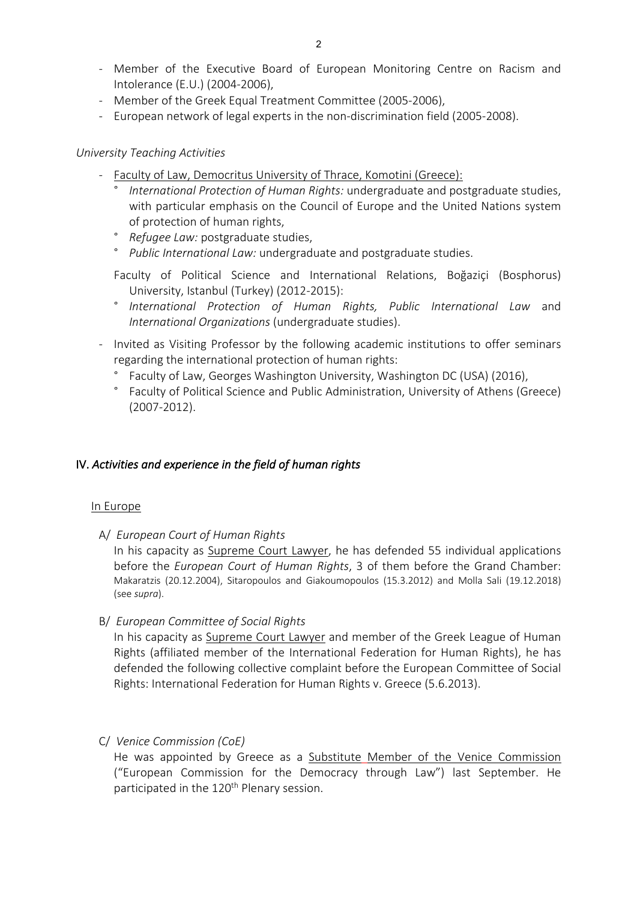- Member of the Executive Board of European Monitoring Centre on Racism and Intolerance (E.U.) (2004-2006),
- Member of the Greek Equal Treatment Committee (2005-2006),
- European network of legal experts in the non-discrimination field (2005-2008).

## *University Teaching Activities*

- Faculty of Law, Democritus University of Thrace, Komotini (Greece):
	- ° *International Protection of Human Rights:* undergraduate and postgraduate studies, with particular emphasis on the Council of Europe and the United Nations system of protection of human rights,
	- ° *Refugee Law:* postgraduate studies,
	- ° *Public International Law:* undergraduate and postgraduate studies.
	- Faculty of Political Science and International Relations, Boğaziçi (Bosphorus) University, Istanbul (Turkey) (2012-2015):
	- ° *International Protection of Human Rights, Public International Law* and *International Organizations* (undergraduate studies).
- Invited as Visiting Professor by the following academic institutions to offer seminars regarding the international protection of human rights:
	- ° Faculty of Law, Georges Washington University, Washington DC (USA) (2016),
	- ° Faculty of Political Science and Public Administration, University of Athens (Greece) (2007-2012).

# IV. *Activities and experience in the field of human rights*

#### In Europe

A/ *European Court of Human Rights*

In his capacity as Supreme Court Lawyer, he has defended 55 individual applications before the *European Court of Human Rights*, 3 of them before the Grand Chamber: Makaratzis (20.12.2004), Sitaropoulos and Giakoumopoulos (15.3.2012) and Molla Sali (19.12.2018) (see *supra*).

B/ *European Committee of Social Rights*

In his capacity as Supreme Court Lawyer and member of the Greek League of Human Rights (affiliated member of the International Federation for Human Rights), he has defended the following collective complaint before the European Committee of Social Rights: International Federation for Human Rights v. Greece (5.6.2013).

C/ *Venice Commission (CoE)*

He was appointed by Greece as a Substitute Member of the Venice Commission ("European Commission for the Democracy through Law") last September. He participated in the 120<sup>th</sup> Plenary session.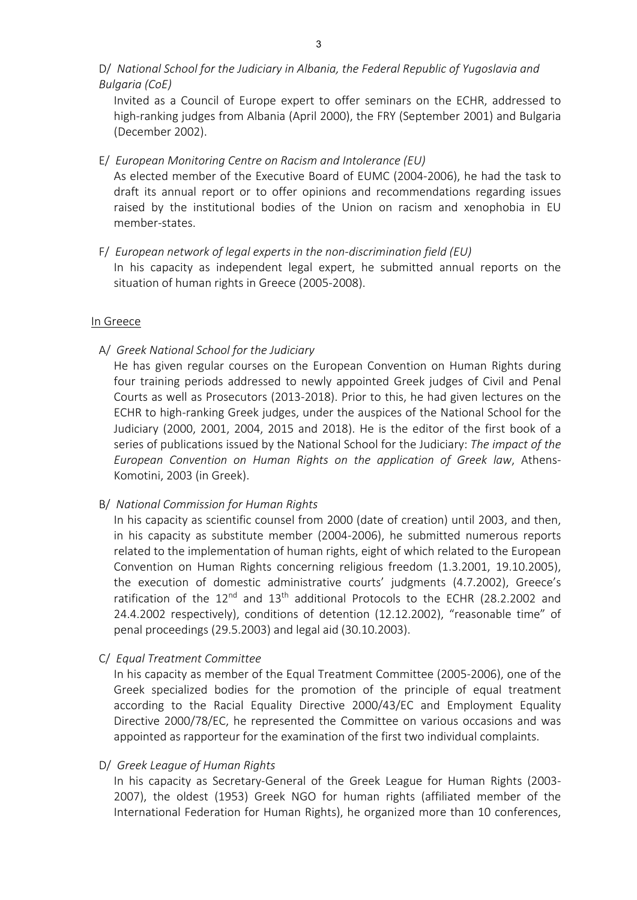D/ *National School for the Judiciary in Albania, the Federal Republic of Yugoslavia and Bulgaria (CoE)*

Invited as a Council of Europe expert to offer seminars on the ECHR, addressed to high-ranking judges from Albania (April 2000), the FRY (September 2001) and Bulgaria (December 2002).

E/ *European Monitoring Centre on Racism and Intolerance (EU)*

As elected member of the Executive Board of EUMC (2004-2006), he had the task to draft its annual report or to offer opinions and recommendations regarding issues raised by the institutional bodies of the Union on racism and xenophobia in EU member-states.

F/ *European network of legal experts in the non-discrimination field (EU)*

In his capacity as independent legal expert, he submitted annual reports on the situation of human rights in Greece (2005-2008).

#### In Greece

A/ *Greek National School for the Judiciary*

He has given regular courses on the European Convention on Human Rights during four training periods addressed to newly appointed Greek judges of Civil and Penal Courts as well as Prosecutors (2013-2018). Prior to this, he had given lectures on the ECHR to high-ranking Greek judges, under the auspices of the National School for the Judiciary (2000, 2001, 2004, 2015 and 2018). He is the editor of the first book of a series of publications issued by the National School for the Judiciary: *The impact of the European Convention on Human Rights on the application of Greek law*, Athens-Komotini, 2003 (in Greek).

B/ *National Commission for Human Rights*

In his capacity as scientific counsel from 2000 (date of creation) until 2003, and then, in his capacity as substitute member (2004-2006), he submitted numerous reports related to the implementation of human rights, eight of which related to the European Convention on Human Rights concerning religious freedom (1.3.2001, 19.10.2005), the execution of domestic administrative courts' judgments (4.7.2002), Greece's ratification of the  $12^{nd}$  and  $13^{th}$  additional Protocols to the ECHR (28.2.2002 and 24.4.2002 respectively), conditions of detention (12.12.2002), "reasonable time" of penal proceedings (29.5.2003) and legal aid (30.10.2003).

C/ *Equal Treatment Committee*

In his capacity as member of the Equal Treatment Committee (2005-2006), one of the Greek specialized bodies for the promotion of the principle of equal treatment according to the Racial Equality Directive 2000/43/EC and Employment Equality Directive 2000/78/EC, he represented the Committee on various occasions and was appointed as rapporteur for the examination of the first two individual complaints.

D/ *Greek League of Human Rights*

In his capacity as Secretary-General of the Greek League for Human Rights (2003- 2007), the oldest (1953) Greek NGO for human rights (affiliated member of the International Federation for Human Rights), he organized more than 10 conferences,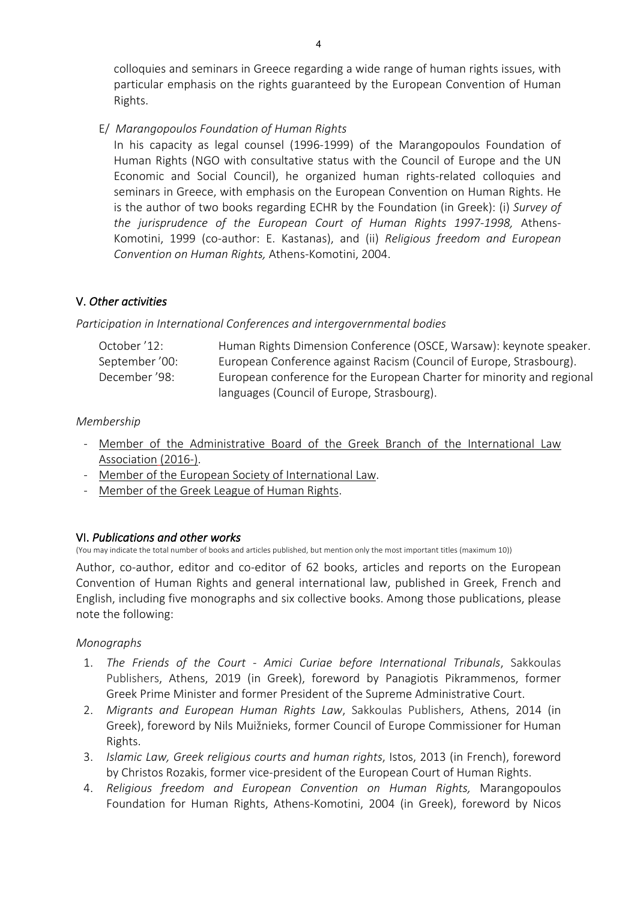colloquies and seminars in Greece regarding a wide range of human rights issues, with particular emphasis on the rights guaranteed by the European Convention of Human Rights.

E/ *Marangopoulos Foundation of Human Rights*

In his capacity as legal counsel (1996-1999) of the Marangopoulos Foundation of Human Rights (NGO with consultative status with the Council of Europe and the UN Economic and Social Council), he organized human rights-related colloquies and seminars in Greece, with emphasis on the European Convention on Human Rights. He is the author of two books regarding ECHR by the Foundation (in Greek): (i) *Survey of the jurisprudence of the European Court of Human Rights 1997-1998,* Athens-Komotini, 1999 (co-author: E. Kastanas), and (ii) *Religious freedom and European Convention on Human Rights,* Athens-Komotini, 2004.

# V. *Other activities*

## *Participation in International Conferences and intergovernmental bodies*

| October '12:   | Human Rights Dimension Conference (OSCE, Warsaw): keynote speaker.     |
|----------------|------------------------------------------------------------------------|
| September '00: | European Conference against Racism (Council of Europe, Strasbourg).    |
| December '98:  | European conference for the European Charter for minority and regional |
|                | languages (Council of Europe, Strasbourg).                             |

## *Membership*

- Member of the Administrative Board of the Greek Branch of the International Law Association (2016-).
- Member of the European Society of International Law.
- Member of the Greek League of Human Rights.

# VI. *Publications and other works*

(You may indicate the total number of books and articles published, but mention only the most important titles (maximum 10))

Author, co-author, editor and co-editor of 62 books, articles and reports on the European Convention of Human Rights and general international law, published in Greek, French and English, including five monographs and six collective books. Among those publications, please note the following:

# *Monographs*

- 1. *The Friends of the Court Amici Curiae before International Tribunals*, Sakkoulas Publishers, Athens, 2019 (in Greek), foreword by Panagiotis Pikrammenos, former Greek Prime Minister and former President of the Supreme Administrative Court.
- 2. *Migrants and European Human Rights Law*, Sakkoulas Publishers, Athens, 2014 (in Greek), foreword by Nils Muižnieks, former Council of Europe Commissioner for Human Rights.
- 3. *Islamic Law, Greek religious courts and human rights*, Istos, 2013 (in French), foreword by Christos Rozakis, former vice-president of the European Court of Human Rights.
- 4. *Religious freedom and European Convention on Human Rights,* Marangopoulos Foundation for Human Rights, Athens-Komotini, 2004 (in Greek), foreword by Nicos